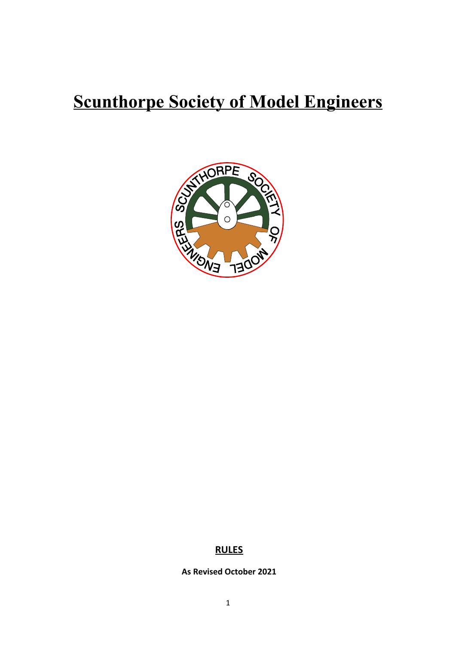## **Scunthorpe Society of Model Engineers**



## **RULES**

**As Revised October 2021**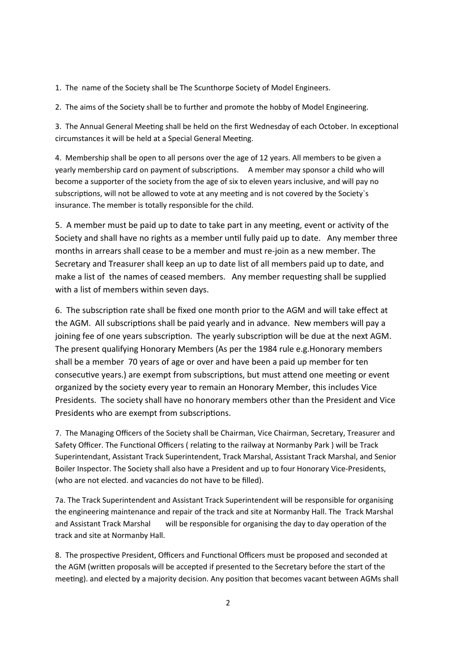1. The name of the Society shall be The Scunthorpe Society of Model Engineers.

2. The aims of the Society shall be to further and promote the hobby of Model Engineering.

3. The Annual General Meeting shall be held on the first Wednesday of each October. In exceptional circumstances it will be held at a Special General Meeting.

4. Membership shall be open to all persons over the age of 12 years. All members to be given a yearly membership card on payment of subscriptions. A member may sponsor a child who will become a supporter of the society from the age of six to eleven years inclusive, and will pay no subscriptions, will not be allowed to vote at any meeting and is not covered by the Society`s insurance. The member is totally responsible for the child.

5. A member must be paid up to date to take part in any meeting, event or activity of the Society and shall have no rights as a member until fully paid up to date. Any member three months in arrears shall cease to be a member and must re-join as a new member. The Secretary and Treasurer shall keep an up to date list of all members paid up to date, and make a list of the names of ceased members. Any member requesting shall be supplied with a list of members within seven days.

6. The subscription rate shall be fixed one month prior to the AGM and will take effect at the AGM. All subscriptions shall be paid yearly and in advance. New members will pay a joining fee of one years subscription. The yearly subscription will be due at the next AGM. The present qualifying Honorary Members (As per the 1984 rule e.g.Honorary members shall be a member 70 years of age or over and have been a paid up member for ten consecutive years.) are exempt from subscriptions, but must attend one meeting or event organized by the society every year to remain an Honorary Member, this includes Vice Presidents. The society shall have no honorary members other than the President and Vice Presidents who are exempt from subscriptions.

7. The Managing Officers of the Society shall be Chairman, Vice Chairman, Secretary, Treasurer and Safety Officer. The Functional Officers ( relating to the railway at Normanby Park ) will be Track Superintendant, Assistant Track Superintendent, Track Marshal, Assistant Track Marshal, and Senior Boiler Inspector. The Society shall also have a President and up to four Honorary Vice-Presidents, (who are not elected. and vacancies do not have to be filled).

7a. The Track Superintendent and Assistant Track Superintendent will be responsible for organising the engineering maintenance and repair of the track and site at Normanby Hall. The Track Marshal and Assistant Track Marshal will be responsible for organising the day to day operation of the track and site at Normanby Hall.

8. The prospective President, Officers and Functional Officers must be proposed and seconded at the AGM (written proposals will be accepted if presented to the Secretary before the start of the meeting). and elected by a majority decision. Any position that becomes vacant between AGMs shall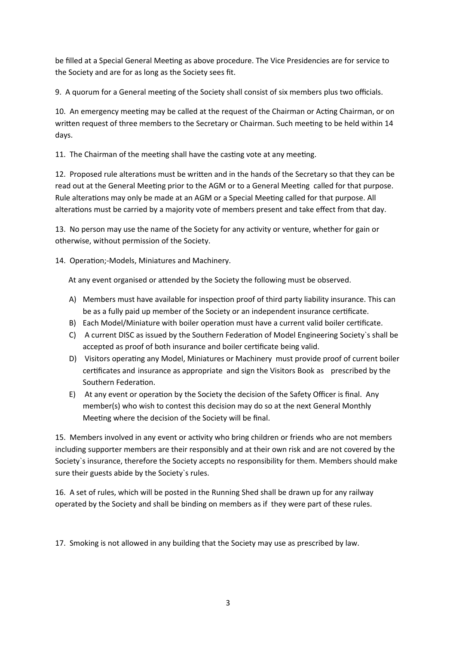be filled at a Special General Meeting as above procedure. The Vice Presidencies are for service to the Society and are for as long as the Society sees fit.

9. A quorum for a General meeting of the Society shall consist of six members plus two officials.

10. An emergency meeting may be called at the request of the Chairman or Acting Chairman, or on written request of three members to the Secretary or Chairman. Such meeting to be held within 14 days.

11. The Chairman of the meeting shall have the casting vote at any meeting.

12. Proposed rule alterations must be written and in the hands of the Secretary so that they can be read out at the General Meeting prior to the AGM or to a General Meeting called for that purpose. Rule alterations may only be made at an AGM or a Special Meeting called for that purpose. All alterations must be carried by a majority vote of members present and take effect from that day.

13. No person may use the name of the Society for any activity or venture, whether for gain or otherwise, without permission of the Society.

14. Operation;-Models, Miniatures and Machinery.

At any event organised or attended by the Society the following must be observed.

- A) Members must have available for inspection proof of third party liability insurance. This can be as a fully paid up member of the Society or an independent insurance certificate.
- B) Each Model/Miniature with boiler operation must have a current valid boiler certificate.
- C) A current DISC as issued by the Southern Federation of Model Engineering Society`s shall be accepted as proof of both insurance and boiler certificate being valid.
- D) Visitors operating any Model, Miniatures or Machinery must provide proof of current boiler certificates and insurance as appropriate and sign the Visitors Book as prescribed by the Southern Federation.
- E) At any event or operation by the Society the decision of the Safety Officer is final. Any member(s) who wish to contest this decision may do so at the next General Monthly Meeting where the decision of the Society will be final.

15. Members involved in any event or activity who bring children or friends who are not members including supporter members are their responsibly and at their own risk and are not covered by the Society`s insurance, therefore the Society accepts no responsibility for them. Members should make sure their guests abide by the Society`s rules.

16. A set of rules, which will be posted in the Running Shed shall be drawn up for any railway operated by the Society and shall be binding on members as if they were part of these rules.

17. Smoking is not allowed in any building that the Society may use as prescribed by law.